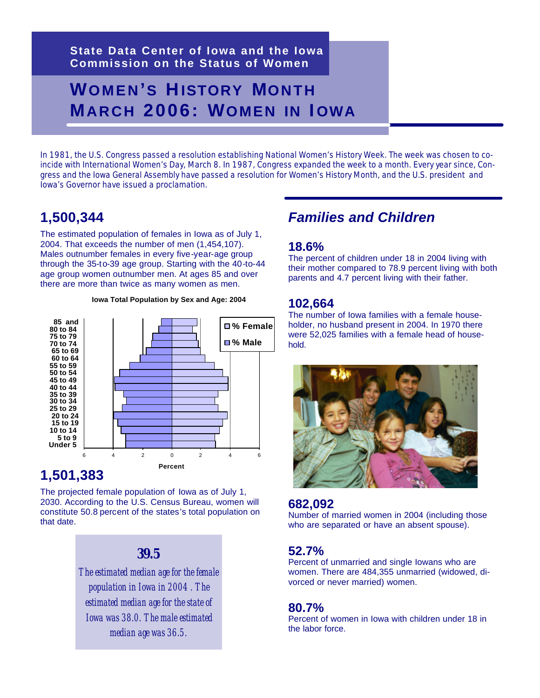**State Data Center of Iowa and the Iowa Commission on the Status of Women** 

# **WOMEN'S HISTORY MONTH MARCH 2006: WOMEN IN I OWA**

In 1981, the U.S. Congress passed a resolution establishing National Women's History Week. The week was chosen to coincide with International Women's Day, March 8. In 1987, Congress expanded the week to a month. Every year since, Congress and the Iowa General Assembly have passed a resolution for Women's History Month, and the U.S. president and Iowa's Governor have issued a proclamation.

### **1,500,344**

The estimated population of females in Iowa as of July 1, 2004. That exceeds the number of men (1,454,107). Males outnumber females in every five-year-age group through the 35-to-39 age group. Starting with the 40-to-44 age group women outnumber men. At ages 85 and over there are more than twice as many women as men.

#### **Iowa Total Population by Sex and Age: 2004**



#### **1,501,383**

The projected female population of Iowa as of July 1, 2030. According to the U.S. Census Bureau, women will constitute 50.8 percent of the states's total population on that date.

#### *39.5*

*The estimated median age for the female population in Iowa in 2004 . The estimated median age for the state of Iowa was 38.0. The male estimated median age was 36.5.*

#### *Families and Children*

#### **18.6%**

The percent of children under 18 in 2004 living with their mother compared to 78.9 percent living with both parents and 4.7 percent living with their father.

#### **102,664**

The number of Iowa families with a female householder, no husband present in 2004. In 1970 there were 52,025 families with a female head of household.



#### **682,092**

Number of married women in 2004 (including those who are separated or have an absent spouse).

#### **52.7%**

Percent of unmarried and single Iowans who are women. There are 484,355 unmarried (widowed, divorced or never married) women.

#### **80.7%**

Percent of women in Iowa with children under 18 in the labor force.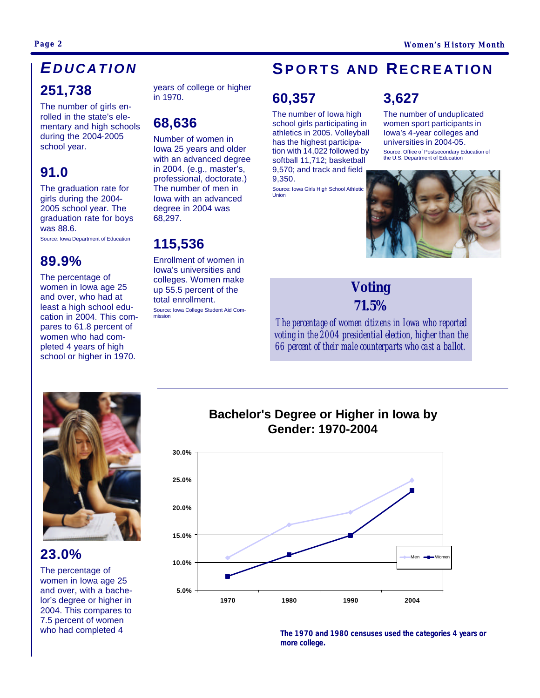## *E DUCATION*

#### **251,738**

The number of girls enrolled in the state's elementary and high schools during the 2004-2005 school year.

### **91.0**

The graduation rate for girls during the 2004- 2005 school year. The graduation rate for boys was 88.6. Source: Iowa Department of Education

#### **89.9%**

The percentage of women in Iowa age 25 and over, who had at least a high school education in 2004. This compares to 61.8 percent of women who had completed 4 years of high school or higher in 1970.

years of college or higher in 1970.

### **68,636**

Number of women in Iowa 25 years and older with an advanced degree in 2004. (e.g., master's, professional, doctorate.) The number of men in Iowa with an advanced degree in 2004 was 68,297.

**115,536**

Enrollment of women in Iowa's universities and colleges. Women make up 55.5 percent of the total enrollment. Source: Iowa College Student Aid Commission

## **SPORTS AND RECREATION**

## **60,357**

The number of Iowa high school girls participating in athletics in 2005. Volleyball has the highest participation with 14,022 followed by softball 11,712; basketball 9,570; and track and field 9,350.

Source: Iowa Girls High School Athletic **Union** 

## **3,627**

The number of unduplicated women sport participants in Iowa's 4-year colleges and universities in 2004-05.

Source: Office of Postsecondary Education of the U.S. Department of Education



### *Voting 71.5%*

*The percentage of women citizens in Iowa who reported voting in the 2004 presidential election, higher than the 66 percent of their male counterparts who cast a ballot.*



#### **23.0%**

The percentage of women in Iowa age 25 and over, with a bachelor's degree or higher in 2004. This compares to 7.5 percent of women who had completed 4





**The 1970 and 1980 censuses used the categories 4 years or more college.**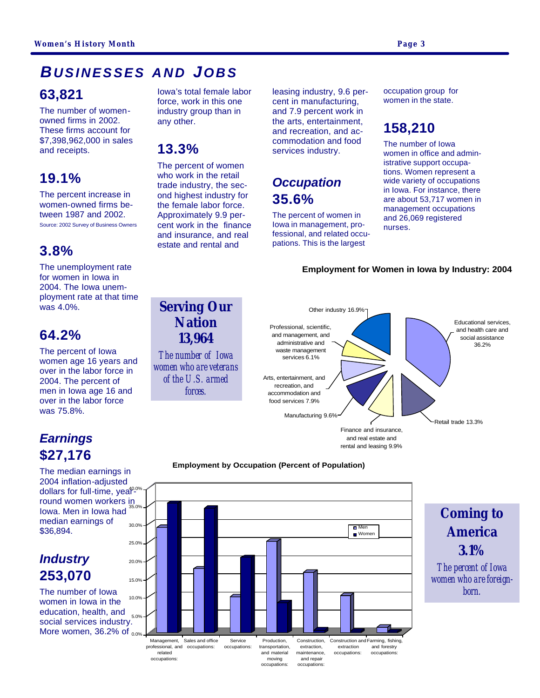## *BUSINESSES AND JOBS*

#### **63,821**

The number of womenowned firms in 2002. These firms account for \$7,398,962,000 in sales and receipts.

### **19.1%**

The percent increase in women-owned firms between 1987 and 2002. Source: 2002 Survey of Business Owners

### **3.8%**

The unemployment rate for women in Iowa in 2004. The Iowa unemployment rate at that time was 4.0%.

#### **64.2%**

The percent of Iowa women age 16 years and over in the labor force in 2004. The percent of men in Iowa age 16 and over in the labor force was 75.8%.

### *Earnings* **\$27,176**

The median earnings in 2004 inflation-adjusted dollars for full-time, yea<sup>po%</sup> round women workers in<br>  $\frac{1}{35.0\%}$ Iowa. Men in Iowa had median earnings of \$36,894. 30.0%

#### *Industry* **253,070**

The number of Iowa women in Iowa in the education, health, and social services industry. More women,  $36.2\%$  of  $_{0.0\%}$ 10.0%

Iowa's total female labor force, work in this one industry group than in any other.

#### **13.3%**

The percent of women who work in the retail trade industry, the second highest industry for the female labor force. Approximately 9.9 percent work in the finance and insurance, and real estate and rental and

*Serving Our Nation 13,964 The number of Iowa women who are veterans of the U.S. armed forces.* 

leasing industry, 9.6 percent in manufacturing, and 7.9 percent work in the arts, entertainment, and recreation, and accommodation and food services industry.

## *Occupation* **35.6%**

The percent of women in Iowa in management, professional, and related occupations. This is the largest

occupation group for women in the state.

# **158,210**

The number of Iowa women in office and administrative support occupations. Women represent a wide variety of occupations in Iowa. For instance, there are about 53,717 women in management occupations and 26,069 registered nurses.

#### **Employment for Women in Iowa by Industry: 2004**



#### **Employment by Occupation (Percent of Population)**



# *Coming to America 3.1%*

*The percent of Iowa women who are foreignborn.*